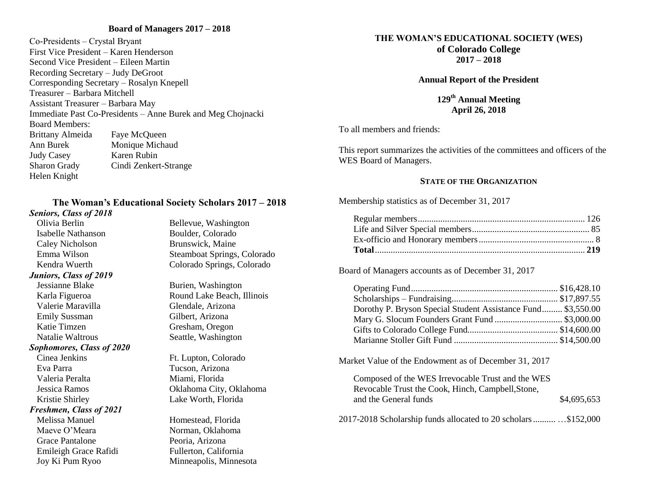# **Board of Managers 2017 – 2018**

Co-Presidents – Crystal Bryant First Vice President – Karen Henderson Second Vice President – Eileen Martin Recording Secretary – Judy DeGroot Corresponding Secretary – Rosalyn Knepell Treasurer – Barbara Mitchell Assistant Treasurer – Barbara May Immediate Past Co-Presidents – Anne Burek and Meg Chojnacki Board Members: Brittany Almeida Faye McQueen Ann Burek Monique Michaud Judy Casey Karen Rubin Sharon Grady Cindi Zenkert-Strange Helen Knight

# **The Woman's Educational Society Scholars 2017 – 2018**

#### *Seniors, Class of 2018*

Olivia Berlin Bellevue, Washington Isabelle Nathanson Boulder, Colorado Caley Nicholson Brunswick, Maine *Juniors, Class of 2019* Jessianne Blake Burien, Washington Karla Figueroa Round Lake Beach, Illinois Valerie Maravilla Glendale, Arizona Emily Sussman Gilbert, Arizona Katie Timzen Gresham, Oregon Natalie Waltrous Seattle, Washington *Sophomores, Class of 2020* Cinea Jenkins Ft. Lupton, Colorado Eva Parra Tucson, Arizona Valeria Peralta **Miami**, Florida Jessica Ramos Oklahoma City, Oklahoma Kristie Shirley Lake Worth, Florida *Freshmen, Class of 2021* Melissa Manuel Homestead, Florida Maeve O'Meara Norman, Oklahoma Grace Pantalone Peoria, Arizona Emileigh Grace Rafidi Fullerton, California

Emma Wilson Steamboat Springs, Colorado Kendra Wuerth Colorado Springs, Colorado

Joy Ki Pum Ryoo Minneapolis, Minnesota

# **THE WOMAN'S EDUCATIONAL SOCIETY (WES)**

**of Colorado College**

**2017 – 2018**

**Annual Report of the President**

**129 th Annual Meeting April 26, 2018**

To all members and friends:

This report summarizes the activities of the committees and officers of the WES Board of Managers.

## **STATE OF THE ORGANIZATION**

Membership statistics as of December 31, 2017

Board of Managers accounts as of December 31, 2017

| Dorothy P. Bryson Special Student Assistance Fund \$3,550.00 |  |
|--------------------------------------------------------------|--|
|                                                              |  |
|                                                              |  |
|                                                              |  |

Market Value of the Endowment as of December 31, 2017

| Composed of the WES Irrevocable Trust and the WES |             |
|---------------------------------------------------|-------------|
| Revocable Trust the Cook, Hinch, Campbell, Stone, |             |
| and the General funds                             | \$4,695,653 |

2017-2018 Scholarship funds allocated to 20 scholars.......... …\$152,000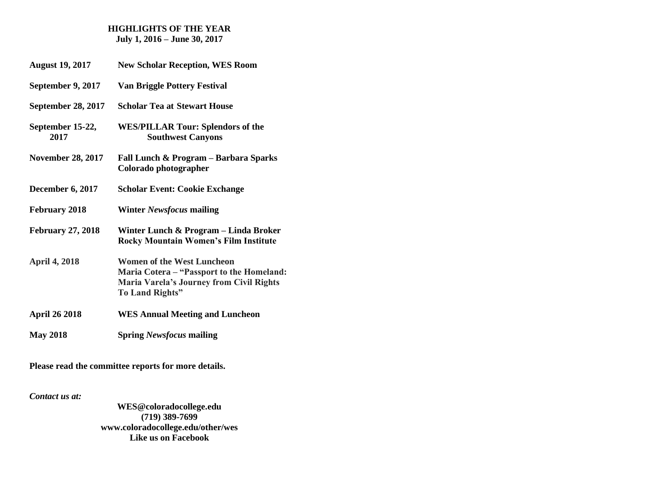# **HIGHLIGHTS OF THE YEAR July 1, 2016 – June 30, 2017**

| <b>August 19, 2017</b>    | <b>New Scholar Reception, WES Room</b>                                                                                                        |
|---------------------------|-----------------------------------------------------------------------------------------------------------------------------------------------|
| September 9, 2017         | <b>Van Briggle Pottery Festival</b>                                                                                                           |
| <b>September 28, 2017</b> | <b>Scholar Tea at Stewart House</b>                                                                                                           |
| September 15-22,<br>2017  | <b>WES/PILLAR Tour: Splendors of the</b><br><b>Southwest Canyons</b>                                                                          |
| <b>November 28, 2017</b>  | Fall Lunch & Program - Barbara Sparks<br>Colorado photographer                                                                                |
| December 6, 2017          | <b>Scholar Event: Cookie Exchange</b>                                                                                                         |
| <b>February 2018</b>      | Winter <i>Newsfocus</i> mailing                                                                                                               |
| <b>February 27, 2018</b>  | Winter Lunch & Program – Linda Broker<br><b>Rocky Mountain Women's Film Institute</b>                                                         |
| <b>April 4, 2018</b>      | Women of the West Luncheon<br>Maria Cotera - "Passport to the Homeland:<br>Maria Varela's Journey from Civil Rights<br><b>To Land Rights"</b> |
| <b>April 26 2018</b>      | <b>WES Annual Meeting and Luncheon</b>                                                                                                        |
| <b>May 2018</b>           | <b>Spring Newsfocus mailing</b>                                                                                                               |

**Please read the committee reports for more details.**

*Contact us at:*

**WES@coloradocollege.edu (719) 389-7699 [www.coloradocollege.edu/other/wes](http://www.coloradocollege.edu/other/wes) Like us on Facebook**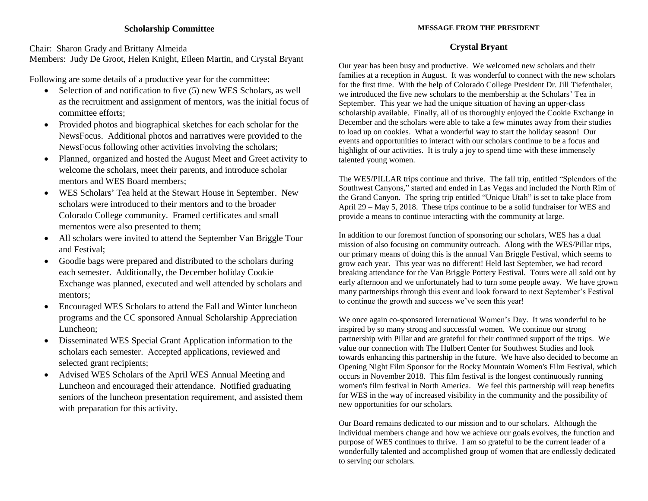# **Scholarship Committee**

Chair: Sharon Grady and Brittany Almeida Members: Judy De Groot, Helen Knight, Eileen Martin, and Crystal Bryant

Following are some details of a productive year for the committee:

- $\bullet$  Selection of and notification to five (5) new WES Scholars, as well as the recruitment and assignment of mentors, was the initial focus of committee efforts;
- Provided photos and biographical sketches for each scholar for the NewsFocus. Additional photos and narratives were provided to the NewsFocus following other activities involving the scholars;
- Planned, organized and hosted the August Meet and Greet activity to welcome the scholars, meet their parents, and introduce scholar mentors and WES Board members;
- WES Scholars' Tea held at the Stewart House in September. New scholars were introduced to their mentors and to the broader Colorado College community. Framed certificates and small mementos were also presented to them;
- All scholars were invited to attend the September Van Briggle Tour and Festival;
- Goodie bags were prepared and distributed to the scholars during each semester. Additionally, the December holiday Cookie Exchange was planned, executed and well attended by scholars and mentors;
- Encouraged WES Scholars to attend the Fall and Winter luncheon programs and the CC sponsored Annual Scholarship Appreciation Luncheon;
- Disseminated WES Special Grant Application information to the scholars each semester. Accepted applications, reviewed and selected grant recipients;
- Advised WES Scholars of the April WES Annual Meeting and Luncheon and encouraged their attendance. Notified graduating seniors of the luncheon presentation requirement, and assisted them with preparation for this activity.

#### **MESSAGE FROM THE PRESIDENT**

# **Crystal Bryant**

Our year has been busy and productive. We welcomed new scholars and their families at a reception in August. It was wonderful to connect with the new scholars for the first time. With the help of Colorado College President Dr. Jill Tiefenthaler, we introduced the five new scholars to the membership at the Scholars' Tea in September. This year we had the unique situation of having an upper-class scholarship available. Finally, all of us thoroughly enjoyed the Cookie Exchange in December and the scholars were able to take a few minutes away from their studies to load up on cookies. What a wonderful way to start the holiday season! Our events and opportunities to interact with our scholars continue to be a focus and highlight of our activities. It is truly a joy to spend time with these immensely talented young women.

The WES/PILLAR trips continue and thrive. The fall trip, entitled "Splendors of the Southwest Canyons," started and ended in Las Vegas and included the North Rim of the Grand Canyon. The spring trip entitled "Unique Utah" is set to take place from April 29 – May 5, 2018. These trips continue to be a solid fundraiser for WES and provide a means to continue interacting with the community at large.

In addition to our foremost function of sponsoring our scholars, WES has a dual mission of also focusing on community outreach. Along with the WES/Pillar trips, our primary means of doing this is the annual Van Briggle Festival, which seems to grow each year. This year was no different! Held last September, we had record breaking attendance for the Van Briggle Pottery Festival. Tours were all sold out by early afternoon and we unfortunately had to turn some people away. We have grown many partnerships through this event and look forward to next September's Festival to continue the growth and success we've seen this year!

We once again co-sponsored International Women's Day. It was wonderful to be inspired by so many strong and successful women. We continue our strong partnership with Pillar and are grateful for their continued support of the trips. We value our connection with The Hulbert Center for Southwest Studies and look towards enhancing this partnership in the future. We have also decided to become an Opening Night Film Sponsor for the Rocky Mountain Women's Film Festival, which occurs in November 2018. This film festival is the longest continuously running women's film festival in North America. We feel this partnership will reap benefits for WES in the way of increased visibility in the community and the possibility of new opportunities for our scholars.

Our Board remains dedicated to our mission and to our scholars. Although the individual members change and how we achieve our goals evolves, the function and purpose of WES continues to thrive. I am so grateful to be the current leader of a wonderfully talented and accomplished group of women that are endlessly dedicated to serving our scholars.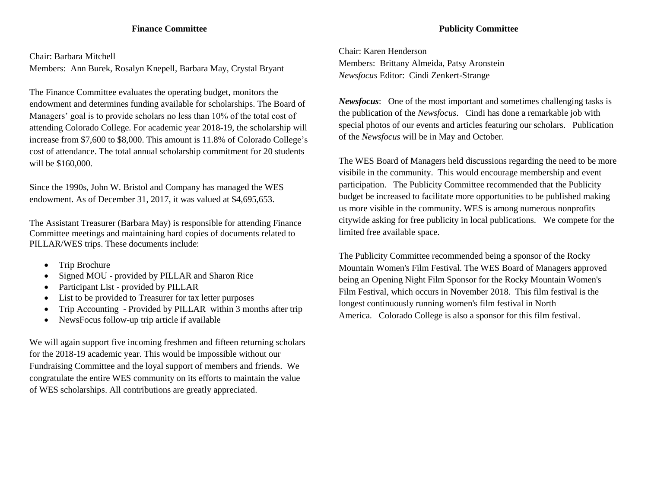# **Finance Committee**

Chair: Barbara Mitchell Members: Ann Burek, Rosalyn Knepell, Barbara May, Crystal Bryant

The Finance Committee evaluates the operating budget, monitors the endowment and determines funding available for scholarships. The Board of Managers' goal is to provide scholars no less than 10% of the total cost of attending Colorado College. For academic year 2018-19, the scholarship will increase from \$7,600 to \$8,000. This amount is 11.8% of Colorado College's cost of attendance. The total annual scholarship commitment for 20 students will be \$160,000.

Since the 1990s, John W. Bristol and Company has managed the WES endowment. As of December 31, 2017, it was valued at \$4,695,653.

The Assistant Treasurer (Barbara May) is responsible for attending Finance Committee meetings and maintaining hard copies of documents related to PILLAR/WES trips. These documents include:

- Trip Brochure
- Signed MOU provided by PILLAR and Sharon Rice
- Participant List provided by PILLAR
- List to be provided to Treasurer for tax letter purposes
- Trip Accounting Provided by PILLAR within 3 months after trip
- NewsFocus follow-up trip article if available

We will again support five incoming freshmen and fifteen returning scholars for the 2018-19 academic year. This would be impossible without our Fundraising Committee and the loyal support of members and friends. We congratulate the entire WES community on its efforts to maintain the value of WES scholarships. All contributions are greatly appreciated.

Chair: Karen Henderson Members: Brittany Almeida, Patsy Aronstein *Newsfocus* Editor: Cindi Zenkert-Strange

*Newsfocus*: One of the most important and sometimes challenging tasks is the publication of the *Newsfocus*. Cindi has done a remarkable job with special photos of our events and articles featuring our scholars. Publication of the *Newsfocus* will be in May and October.

The WES Board of Managers held discussions regarding the need to be more visibile in the community. This would encourage membership and event participation. The Publicity Committee recommended that the Publicity budget be increased to facilitate more opportunities to be published making us more visible in the community. WES is among numerous nonprofits citywide asking for free publicity in local publications. We compete for the limited free available space.

The Publicity Committee recommended being a sponsor of the Rocky Mountain Women's Film Festival. The WES Board of Managers approved being an Opening Night Film Sponsor for the Rocky Mountain Women's Film Festival, which occurs in November 2018. This film festival is the longest continuously running women's film festival in North America. Colorado College is also a sponsor for this film festival.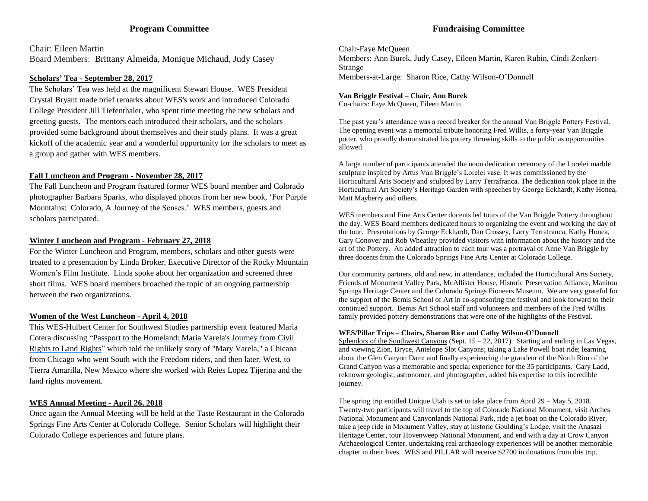# **Program Committee**

Chair: Eileen Martin Board Members: Brittany Almeida, Monique Michaud, Judy Casey

#### **Scholars' Tea - September 28, 2017**

The Scholars' Tea was held at the magnificent Stewart House. WES President Crystal Bryant made brief remarks about WES's work and introduced Colorado College President Jill Tiefenthaler, who spent time meeting the new scholars and greeting guests. The mentors each introduced their scholars, and the scholars provided some background about themselves and their study plans. It was a great kickoff of the academic year and a wonderful opportunity for the scholars to meet as a group and gather with WES members.

#### **Fall Luncheon and Program - November 28, 2017**

The Fall Luncheon and Program featured former WES board member and Colorado photographer Barbara Sparks, who displayed photos from her new book, 'For Purple Mountains: Colorado, A Journey of the Senses.' WES members, guests and scholars participated.

#### **Winter Luncheon and Program - February 27, 2018**

For the Winter Luncheon and Program, members, scholars and other guests were treated to a presentation by Linda Broker, Executive Director of the Rocky Mountain Women's Film Institute. Linda spoke about her organization and screened three short films. WES board members broached the topic of an ongoing partnership between the two organizations.

#### **Women of the West Luncheon - April 4, 2018**

This WES-Hulbert Center for Southwest Studies partnership event featured Maria Cotera discussing "Passport to the [Homeland:](https://www.coloradocollege.edu/newsevents/calendar/details.html?EventID=21644&Title=Women-In-the-West-Lecture-%E2%80%9CPassport-to-the-Homeland:-Maria-Varela%27s-Journey-from-Civil-Rights-to-Land-Rights%E2%80%9D&View=Day) Maria Varela's Journey from Civil Rights to Land [Rights"](https://www.coloradocollege.edu/newsevents/calendar/details.html?EventID=21644&Title=Women-In-the-West-Lecture-%E2%80%9CPassport-to-the-Homeland:-Maria-Varela%27s-Journey-from-Civil-Rights-to-Land-Rights%E2%80%9D&View=Day) which told the unlikely story of "Mary Varela," a Chicana from Chicago who went South with the Freedom riders, and then later, West, to Tierra Amarilla, New Mexico where she worked with Reies Lopez Tijerina and the land rights movement.

#### **WES Annual Meeting - April 26, 2018**

Once again the Annual Meeting will be held at the Taste Restaurant in the Colorado Springs Fine Arts Center at Colorado College. Senior Scholars will highlight their Colorado College experiences and future plans.

# **Fundraising Committee**

Chair-Faye McQueen Members: Ann Burek, Judy Casey, Eileen Martin, Karen Rubin, Cindi Zenkert-Strange Members-at-Large: Sharon Rice, Cathy Wilson-O'Donnell

#### **Van Briggle Festival – Chair, Ann Burek**

Co-chairs: Faye McQueen, Eileen Martin

The past year's attendance was a record breaker for the annual Van Briggle Pottery Festival. The opening event was a memorial tribute honoring Fred Willis, a forty-year Van Briggle potter, who proudly demonstrated his pottery throwing skills to the public as opportunities allowed.

A large number of participants attended the noon dedication ceremony of the Lorelei marble sculpture inspired by Artus Van Briggle's Lorelei vase. It was commissioned by the Horticultural Arts Society and sculpted by Larry Terrafranca. The dedication took place in the Horticultural Art Society's Heritage Garden with speeches by George Eckhardt, Kathy Honea, Matt Mayberry and others.

WES members and Fine Arts Center docents led tours of the Van Briggle Pottery throughout the day. WES Board members dedicated hours to organizing the event and working the day of the tour. Presentations by George Eckhardt, Dan Crossey, Larry Terrafranca, Kathy Honea, Gary Conover and Rob Wheatley provided visitors with information about the history and the art of the Pottery. An added attraction to each tour was a portrayal of Anne Van Briggle by three docents from the Colorado Springs Fine Arts Center at Colorado College.

Our community partners, old and new, in attendance, included the Horticultural Arts Society, Friends of Monument Valley Park, McAllister House, Historic Preservation Alliance, Manitou Springs Heritage Center and the Colorado Springs Pioneers Museum. We are very grateful for the support of the Bemis School of Art in co-sponsoring the festival and look forward to their continued support. Bemis Art School staff and volunteers and members of the Fred Willis family provided pottery demonstrations that were one of the highlights of the Festival.

#### **WES/Pillar Trips – Chairs, Sharon Rice and Cathy Wilson-O'Donnell**

Splendors of the Southwest Canyons (Sept.  $15 - 22$ , 2017). Starting and ending in Las Vegas, and viewing Zion, Bryce, Antelope Slot Canyons; taking a Lake Powell boat ride; learning about the Glen Canyon Dam; and finally experiencing the grandeur of the North Rim of the Grand Canyon was a memorable and special experience for the 35 participants. Gary Ladd, reknown geologist, astronomer, and photographer, added his expertise to this incredible journey.

The spring trip entitled Unique Utah is set to take place from April 29 – May 5, 2018. Twenty-two participants will travel to the top of Colorado National Monument, visit Arches National Monument and Canyonlands National Park, ride a jet boat on the Colorado River, take a jeep ride in Monument Valley, stay at historic Goulding's Lodge, visit the Anasazi Heritage Center, tour Hovenweep National Monument, and end with a day at Crow Canyon Archaeological Center, undertaking real archaeology experiences will be another memorable chapter in their lives. WES and PILLAR will receive \$2700 in donations from this trip.